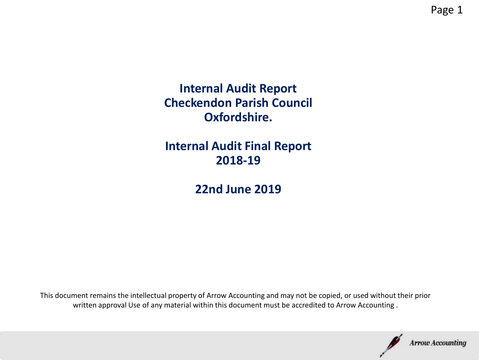**Internal Audit Report Checkendon Parish Council Oxfordshire.** 

**Internal Audit Final Report 2018-19**

**22nd June 2019**

This document remains the intellectual property of Arrow Accounting and may not be copied, or used without their prior written approval Use of any material within this document must be accredited to Arrow Accounting .

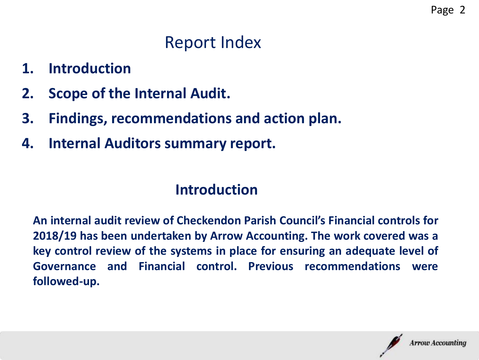# Report Index

- **1. Introduction**
- **2. Scope of the Internal Audit.**
- **3. Findings, recommendations and action plan.**
- **4. Internal Auditors summary report.**

## **Introduction**

**An internal audit review of Checkendon Parish Council's Financial controls for 2018/19 has been undertaken by Arrow Accounting. The work covered was a key control review of the systems in place for ensuring an adequate level of Governance and Financial control. Previous recommendations were followed-up.**

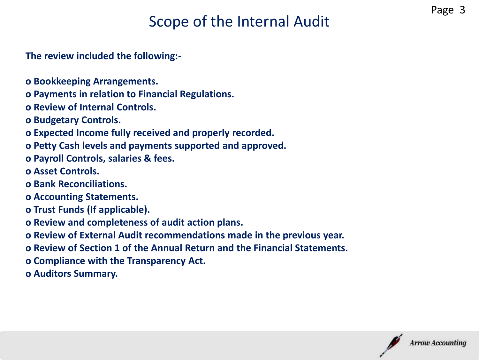## Scope of the Internal Audit

**The review included the following:-**

- **o Bookkeeping Arrangements.**
- **o Payments in relation to Financial Regulations.**
- **o Review of Internal Controls.**
- **o Budgetary Controls.**
- **o Expected Income fully received and properly recorded.**
- **o Petty Cash levels and payments supported and approved.**
- **o Payroll Controls, salaries & fees.**
- **o Asset Controls.**
- **o Bank Reconciliations.**
- **o Accounting Statements.**
- **o Trust Funds (If applicable).**
- **o Review and completeness of audit action plans.**
- **o Review of External Audit recommendations made in the previous year.**
- **o Review of Section 1 of the Annual Return and the Financial Statements.**
- **o Compliance with the Transparency Act.**
- **o Auditors Summary.**

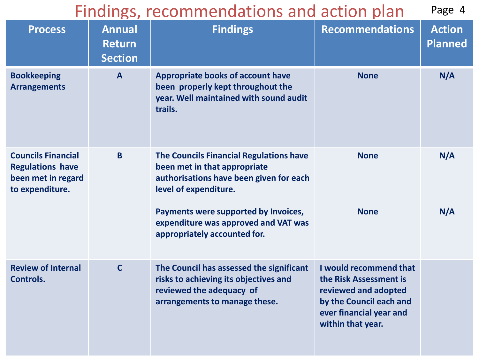#### Findings, recommendations and action plan Page 4

| <b>Process</b>                                                                                | <b>Annual</b><br><b>Return</b><br><b>Section</b> | <b>Findings</b>                                                                                                                                                                                                                                             | <b>Recommendations</b>                                                                                                                              | <b>Action</b><br><b>Planned</b> |
|-----------------------------------------------------------------------------------------------|--------------------------------------------------|-------------------------------------------------------------------------------------------------------------------------------------------------------------------------------------------------------------------------------------------------------------|-----------------------------------------------------------------------------------------------------------------------------------------------------|---------------------------------|
| <b>Bookkeeping</b><br><b>Arrangements</b>                                                     | $\mathsf{A}$                                     | <b>Appropriate books of account have</b><br>been properly kept throughout the<br>year. Well maintained with sound audit<br>trails.                                                                                                                          | <b>None</b>                                                                                                                                         | N/A                             |
| <b>Councils Financial</b><br><b>Regulations have</b><br>been met in regard<br>to expenditure. | B                                                | The Councils Financial Regulations have<br>been met in that appropriate<br>authorisations have been given for each<br>level of expenditure.<br>Payments were supported by Invoices,<br>expenditure was approved and VAT was<br>appropriately accounted for. | <b>None</b><br><b>None</b>                                                                                                                          | N/A<br>N/A                      |
| <b>Review of Internal</b><br>Controls.                                                        | $\mathsf{C}$                                     | The Council has assessed the significant<br>risks to achieving its objectives and<br>reviewed the adequacy of<br>arrangements to manage these.                                                                                                              | I would recommend that<br>the Risk Assessment is<br>reviewed and adopted<br>by the Council each and<br>ever financial year and<br>within that year. |                                 |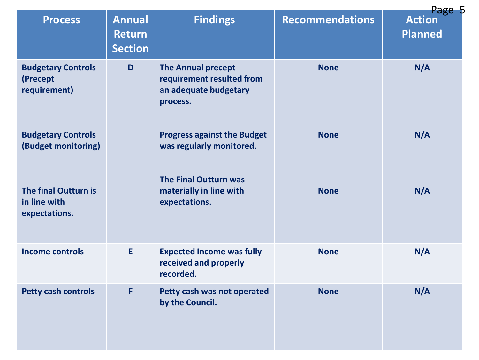| <b>Process</b>                                               | <b>Annual</b><br><b>Return</b><br><b>Section</b> | <b>Findings</b>                                                                             | <b>Recommendations</b> | Page 5<br><b>Action</b><br><b>Planned</b> |
|--------------------------------------------------------------|--------------------------------------------------|---------------------------------------------------------------------------------------------|------------------------|-------------------------------------------|
| <b>Budgetary Controls</b><br>(Precept<br>requirement)        | D                                                | <b>The Annual precept</b><br>requirement resulted from<br>an adequate budgetary<br>process. | <b>None</b>            | N/A                                       |
| <b>Budgetary Controls</b><br>(Budget monitoring)             |                                                  | <b>Progress against the Budget</b><br>was regularly monitored.                              | <b>None</b>            | N/A                                       |
| <b>The final Outturn is</b><br>in line with<br>expectations. |                                                  | <b>The Final Outturn was</b><br>materially in line with<br>expectations.                    | <b>None</b>            | N/A                                       |
| <b>Income controls</b>                                       | E.                                               | <b>Expected Income was fully</b><br>received and properly<br>recorded.                      | <b>None</b>            | N/A                                       |
| <b>Petty cash controls</b>                                   | F                                                | Petty cash was not operated<br>by the Council.                                              | <b>None</b>            | N/A                                       |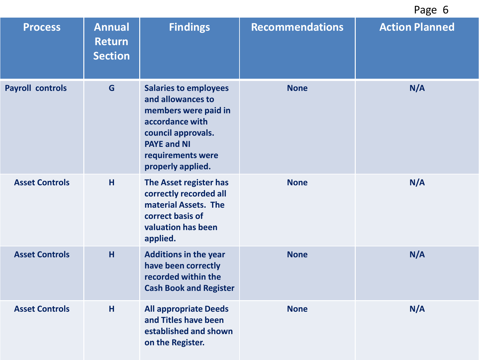| <b>Process</b>          | <b>Annual</b><br>Return<br><b>Section</b> | <b>Findings</b>                                                                                                                                                                    | <b>Recommendations</b> | <b>Action Planned</b> |
|-------------------------|-------------------------------------------|------------------------------------------------------------------------------------------------------------------------------------------------------------------------------------|------------------------|-----------------------|
| <b>Payroll controls</b> | G                                         | <b>Salaries to employees</b><br>and allowances to<br>members were paid in<br>accordance with<br>council approvals.<br><b>PAYE and NI</b><br>requirements were<br>properly applied. | <b>None</b>            | N/A                   |
| <b>Asset Controls</b>   | H                                         | The Asset register has<br>correctly recorded all<br>material Assets. The<br>correct basis of<br>valuation has been<br>applied.                                                     | <b>None</b>            | N/A                   |
| <b>Asset Controls</b>   | H                                         | <b>Additions in the year</b><br>have been correctly<br>recorded within the<br><b>Cash Book and Register</b>                                                                        | <b>None</b>            | N/A                   |
| <b>Asset Controls</b>   | H                                         | <b>All appropriate Deeds</b><br>and Titles have been<br>established and shown<br>on the Register.                                                                                  | <b>None</b>            | N/A                   |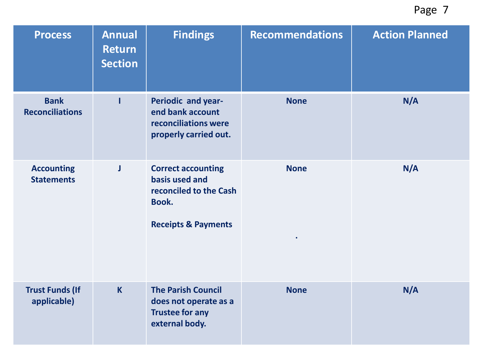| <b>Process</b>                         | <b>Annual</b><br><b>Return</b><br><b>Section</b> | <b>Findings</b>                                                                                                  | <b>Recommendations</b>   | <b>Action Planned</b> |
|----------------------------------------|--------------------------------------------------|------------------------------------------------------------------------------------------------------------------|--------------------------|-----------------------|
| <b>Bank</b><br><b>Reconciliations</b>  |                                                  | Periodic and year-<br>end bank account<br>reconciliations were<br>properly carried out.                          | <b>None</b>              | N/A                   |
| <b>Accounting</b><br><b>Statements</b> | J                                                | <b>Correct accounting</b><br>basis used and<br>reconciled to the Cash<br>Book.<br><b>Receipts &amp; Payments</b> | <b>None</b><br>$\bullet$ | N/A                   |
| <b>Trust Funds (If</b><br>applicable)  | $\mathsf{K}$                                     | <b>The Parish Council</b><br>does not operate as a<br><b>Trustee for any</b><br>external body.                   | <b>None</b>              | N/A                   |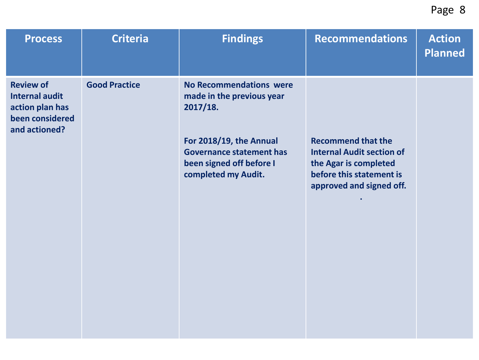| <b>Process</b>                                                                                   | <b>Criteria</b>      | <b>Findings</b>                                                                                                                                                                          | <b>Recommendations</b>                                                                                                                         | <b>Action</b><br>Planned |
|--------------------------------------------------------------------------------------------------|----------------------|------------------------------------------------------------------------------------------------------------------------------------------------------------------------------------------|------------------------------------------------------------------------------------------------------------------------------------------------|--------------------------|
| <b>Review of</b><br><b>Internal audit</b><br>action plan has<br>been considered<br>and actioned? | <b>Good Practice</b> | <b>No Recommendations were</b><br>made in the previous year<br>2017/18.<br>For 2018/19, the Annual<br><b>Governance statement has</b><br>been signed off before I<br>completed my Audit. | <b>Recommend that the</b><br><b>Internal Audit section of</b><br>the Agar is completed<br>before this statement is<br>approved and signed off. |                          |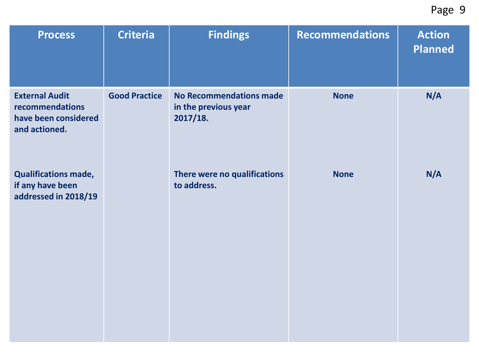| <b>Process</b>                                                                    | <b>Criteria</b>      | <b>Findings</b>                                             | <b>Recommendations</b> | <b>Action</b><br><b>Planned</b> |
|-----------------------------------------------------------------------------------|----------------------|-------------------------------------------------------------|------------------------|---------------------------------|
| <b>External Audit</b><br>recommendations<br>have been considered<br>and actioned. | <b>Good Practice</b> | No Recommendations made<br>in the previous year<br>2017/18. | <b>None</b>            | N/A                             |
| <b>Qualifications made,</b><br>if any have been<br>addressed in 2018/19           |                      | There were no qualifications<br>to address.                 | <b>None</b>            | N/A                             |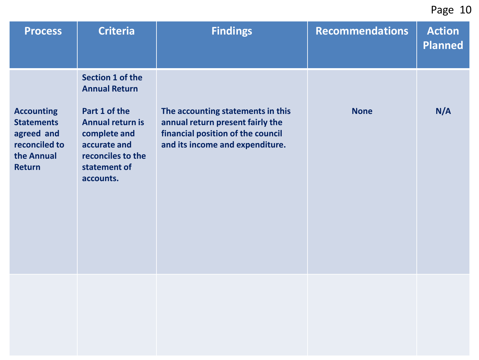| <b>Process</b>                                                                                       | <b>Criteria</b>                                                                                                                                                               | <b>Findings</b>                                                                                                                               | <b>Recommendations</b> | <b>Action</b><br><b>Planned</b> |
|------------------------------------------------------------------------------------------------------|-------------------------------------------------------------------------------------------------------------------------------------------------------------------------------|-----------------------------------------------------------------------------------------------------------------------------------------------|------------------------|---------------------------------|
| <b>Accounting</b><br><b>Statements</b><br>agreed and<br>reconciled to<br>the Annual<br><b>Return</b> | <b>Section 1 of the</b><br><b>Annual Return</b><br>Part 1 of the<br><b>Annual return is</b><br>complete and<br>accurate and<br>reconciles to the<br>statement of<br>accounts. | The accounting statements in this<br>annual return present fairly the<br>financial position of the council<br>and its income and expenditure. | <b>None</b>            | N/A                             |
|                                                                                                      |                                                                                                                                                                               |                                                                                                                                               |                        |                                 |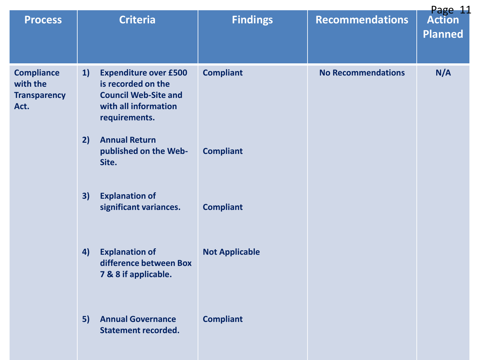|                                                              |    |                                                                                                                            |                       |                           | Page 11                         |
|--------------------------------------------------------------|----|----------------------------------------------------------------------------------------------------------------------------|-----------------------|---------------------------|---------------------------------|
| <b>Process</b>                                               |    | <b>Criteria</b>                                                                                                            | <b>Findings</b>       | <b>Recommendations</b>    | <b>Action</b><br><b>Planned</b> |
| <b>Compliance</b><br>with the<br><b>Transparency</b><br>Act. | 1) | <b>Expenditure over £500</b><br>is recorded on the<br><b>Council Web-Site and</b><br>with all information<br>requirements. | <b>Compliant</b>      | <b>No Recommendations</b> | N/A                             |
|                                                              | 2) | <b>Annual Return</b><br>published on the Web-<br>Site.                                                                     | <b>Compliant</b>      |                           |                                 |
|                                                              | 3) | <b>Explanation of</b><br>significant variances.                                                                            | <b>Compliant</b>      |                           |                                 |
|                                                              | 4) | <b>Explanation of</b><br>difference between Box<br>7 & 8 if applicable.                                                    | <b>Not Applicable</b> |                           |                                 |
|                                                              | 5) | <b>Annual Governance</b><br><b>Statement recorded.</b>                                                                     | <b>Compliant</b>      |                           |                                 |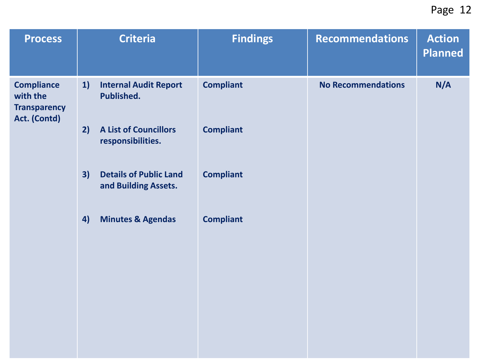| <b>Process</b>                                                       | <b>Criteria</b>                                             | <b>Findings</b>  | <b>Recommendations</b>    | <b>Action</b><br><b>Planned</b> |
|----------------------------------------------------------------------|-------------------------------------------------------------|------------------|---------------------------|---------------------------------|
| <b>Compliance</b><br>with the<br><b>Transparency</b><br>Act. (Contd) | 1)<br><b>Internal Audit Report</b><br>Published.            | <b>Compliant</b> | <b>No Recommendations</b> | N/A                             |
|                                                                      | 2)<br><b>A List of Councillors</b><br>responsibilities.     | <b>Compliant</b> |                           |                                 |
|                                                                      | <b>Details of Public Land</b><br>3)<br>and Building Assets. | <b>Compliant</b> |                           |                                 |
|                                                                      | 4)<br><b>Minutes &amp; Agendas</b>                          | <b>Compliant</b> |                           |                                 |
|                                                                      |                                                             |                  |                           |                                 |